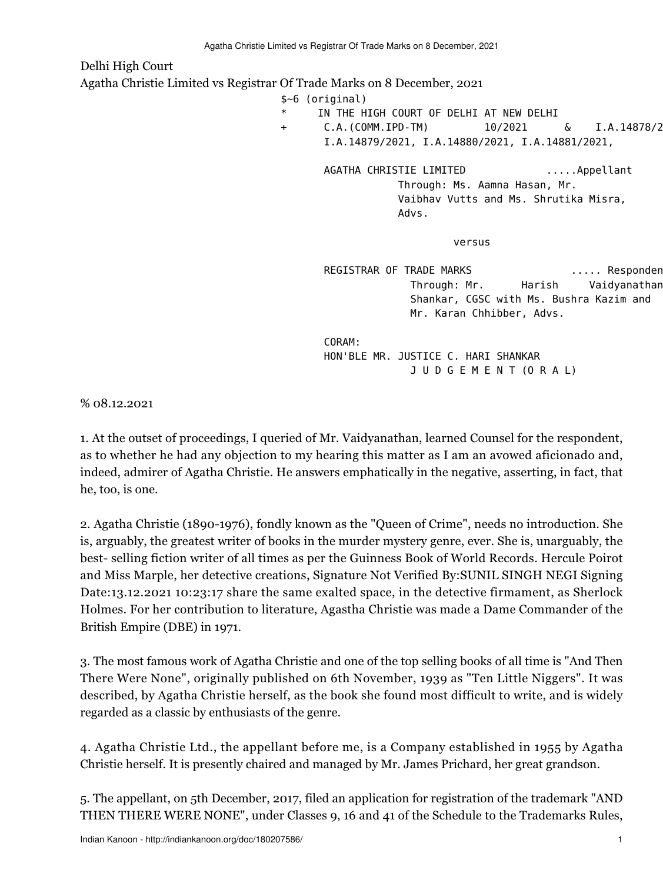Delhi High Court Agatha Christie Limited vs Registrar Of Trade Marks on 8 December, 2021 \$~6 (original) IN THE HIGH COURT OF DELHI AT NEW DELHI + C.A.(COMM.IPD-TM) 10/2021 & I.A.14878/2021, I.A.14879/2021, I.A.14880/2021, I.A.14881/2021,

 AGATHA CHRISTIE LIMITED .....Appellant Through: Ms. Aamna Hasan, Mr. Vaibhav Vutts and Ms. Shrutika Misra, Advs.

versus and the contract of the contract of the contract of the contract of the contract of the contract of the

REGISTRAR OF TRADE MARKS ..... Responden Through: Mr. Harish Vaidyanathan Shankar, CGSC with Ms. Bushra Kazim and Mr. Karan Chhibber, Advs.

 CORAM: HON'BLE MR. JUSTICE C. HARI SHANKAR J U D G E M E N T (O R A L)

% 08.12.2021

1. At the outset of proceedings, I queried of Mr. Vaidyanathan, learned Counsel for the respondent, as to whether he had any objection to my hearing this matter as I am an avowed aficionado and, indeed, admirer of Agatha Christie. He answers emphatically in the negative, asserting, in fact, that he, too, is one.

2. Agatha Christie (1890-1976), fondly known as the "Queen of Crime", needs no introduction. She is, arguably, the greatest writer of books in the murder mystery genre, ever. She is, unarguably, the best- selling fiction writer of all times as per the Guinness Book of World Records. Hercule Poirot and Miss Marple, her detective creations, Signature Not Verified By:SUNIL SINGH NEGI Signing Date:13.12.2021 10:23:17 share the same exalted space, in the detective firmament, as Sherlock Holmes. For her contribution to literature, Agastha Christie was made a Dame Commander of the British Empire (DBE) in 1971.

3. The most famous work of Agatha Christie and one of the top selling books of all time is "And Then There Were None", originally published on 6th November, 1939 as "Ten Little Niggers". It was described, by Agatha Christie herself, as the book she found most difficult to write, and is widely regarded as a classic by enthusiasts of the genre.

4. Agatha Christie Ltd., the appellant before me, is a Company established in 1955 by Agatha Christie herself. It is presently chaired and managed by Mr. James Prichard, her great grandson.

5. The appellant, on 5th December, 2017, filed an application for registration of the trademark "AND THEN THERE WERE NONE", under Classes 9, 16 and 41 of the Schedule to the Trademarks Rules,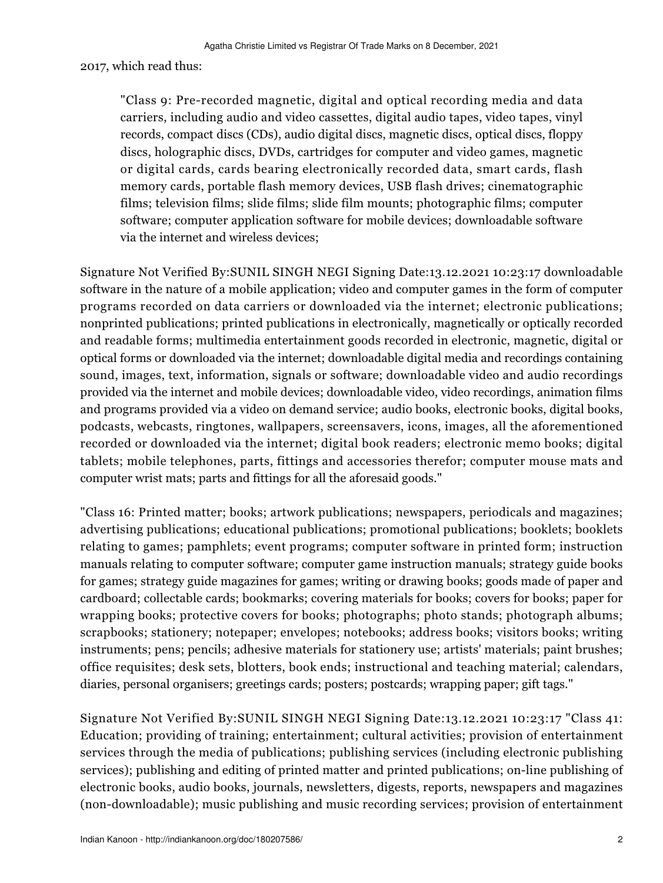## 2017, which read thus:

"Class 9: Pre-recorded magnetic, digital and optical recording media and data carriers, including audio and video cassettes, digital audio tapes, video tapes, vinyl records, compact discs (CDs), audio digital discs, magnetic discs, optical discs, floppy discs, holographic discs, DVDs, cartridges for computer and video games, magnetic or digital cards, cards bearing electronically recorded data, smart cards, flash memory cards, portable flash memory devices, USB flash drives; cinematographic films; television films; slide films; slide film mounts; photographic films; computer software; computer application software for mobile devices; downloadable software via the internet and wireless devices;

Signature Not Verified By:SUNIL SINGH NEGI Signing Date:13.12.2021 10:23:17 downloadable software in the nature of a mobile application; video and computer games in the form of computer programs recorded on data carriers or downloaded via the internet; electronic publications; nonprinted publications; printed publications in electronically, magnetically or optically recorded and readable forms; multimedia entertainment goods recorded in electronic, magnetic, digital or optical forms or downloaded via the internet; downloadable digital media and recordings containing sound, images, text, information, signals or software; downloadable video and audio recordings provided via the internet and mobile devices; downloadable video, video recordings, animation films and programs provided via a video on demand service; audio books, electronic books, digital books, podcasts, webcasts, ringtones, wallpapers, screensavers, icons, images, all the aforementioned recorded or downloaded via the internet; digital book readers; electronic memo books; digital tablets; mobile telephones, parts, fittings and accessories therefor; computer mouse mats and computer wrist mats; parts and fittings for all the aforesaid goods."

"Class 16: Printed matter; books; artwork publications; newspapers, periodicals and magazines; advertising publications; educational publications; promotional publications; booklets; booklets relating to games; pamphlets; event programs; computer software in printed form; instruction manuals relating to computer software; computer game instruction manuals; strategy guide books for games; strategy guide magazines for games; writing or drawing books; goods made of paper and cardboard; collectable cards; bookmarks; covering materials for books; covers for books; paper for wrapping books; protective covers for books; photographs; photo stands; photograph albums; scrapbooks; stationery; notepaper; envelopes; notebooks; address books; visitors books; writing instruments; pens; pencils; adhesive materials for stationery use; artists' materials; paint brushes; office requisites; desk sets, blotters, book ends; instructional and teaching material; calendars, diaries, personal organisers; greetings cards; posters; postcards; wrapping paper; gift tags."

Signature Not Verified By:SUNIL SINGH NEGI Signing Date:13.12.2021 10:23:17 "Class 41: Education; providing of training; entertainment; cultural activities; provision of entertainment services through the media of publications; publishing services (including electronic publishing services); publishing and editing of printed matter and printed publications; on-line publishing of electronic books, audio books, journals, newsletters, digests, reports, newspapers and magazines (non-downloadable); music publishing and music recording services; provision of entertainment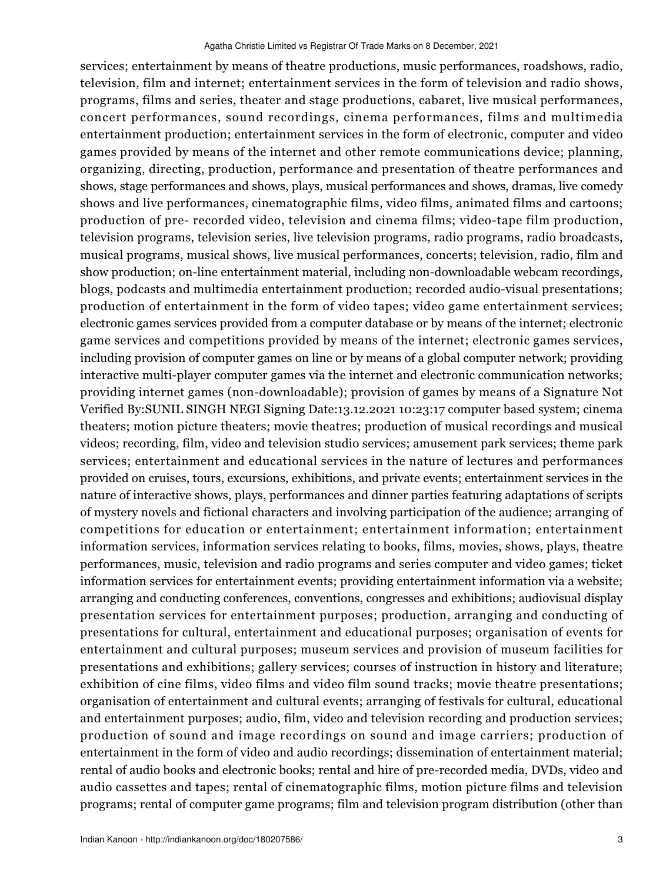services; entertainment by means of theatre productions, music performances, roadshows, radio, television, film and internet; entertainment services in the form of television and radio shows, programs, films and series, theater and stage productions, cabaret, live musical performances, concert performances, sound recordings, cinema performances, films and multimedia entertainment production; entertainment services in the form of electronic, computer and video games provided by means of the internet and other remote communications device; planning, organizing, directing, production, performance and presentation of theatre performances and shows, stage performances and shows, plays, musical performances and shows, dramas, live comedy shows and live performances, cinematographic films, video films, animated films and cartoons; production of pre- recorded video, television and cinema films; video-tape film production, television programs, television series, live television programs, radio programs, radio broadcasts, musical programs, musical shows, live musical performances, concerts; television, radio, film and show production; on-line entertainment material, including non-downloadable webcam recordings, blogs, podcasts and multimedia entertainment production; recorded audio-visual presentations; production of entertainment in the form of video tapes; video game entertainment services; electronic games services provided from a computer database or by means of the internet; electronic game services and competitions provided by means of the internet; electronic games services, including provision of computer games on line or by means of a global computer network; providing interactive multi-player computer games via the internet and electronic communication networks; providing internet games (non-downloadable); provision of games by means of a Signature Not Verified By:SUNIL SINGH NEGI Signing Date:13.12.2021 10:23:17 computer based system; cinema theaters; motion picture theaters; movie theatres; production of musical recordings and musical videos; recording, film, video and television studio services; amusement park services; theme park services; entertainment and educational services in the nature of lectures and performances provided on cruises, tours, excursions, exhibitions, and private events; entertainment services in the nature of interactive shows, plays, performances and dinner parties featuring adaptations of scripts of mystery novels and fictional characters and involving participation of the audience; arranging of competitions for education or entertainment; entertainment information; entertainment information services, information services relating to books, films, movies, shows, plays, theatre performances, music, television and radio programs and series computer and video games; ticket information services for entertainment events; providing entertainment information via a website; arranging and conducting conferences, conventions, congresses and exhibitions; audiovisual display presentation services for entertainment purposes; production, arranging and conducting of presentations for cultural, entertainment and educational purposes; organisation of events for entertainment and cultural purposes; museum services and provision of museum facilities for presentations and exhibitions; gallery services; courses of instruction in history and literature; exhibition of cine films, video films and video film sound tracks; movie theatre presentations; organisation of entertainment and cultural events; arranging of festivals for cultural, educational and entertainment purposes; audio, film, video and television recording and production services; production of sound and image recordings on sound and image carriers; production of entertainment in the form of video and audio recordings; dissemination of entertainment material; rental of audio books and electronic books; rental and hire of pre-recorded media, DVDs, video and audio cassettes and tapes; rental of cinematographic films, motion picture films and television programs; rental of computer game programs; film and television program distribution (other than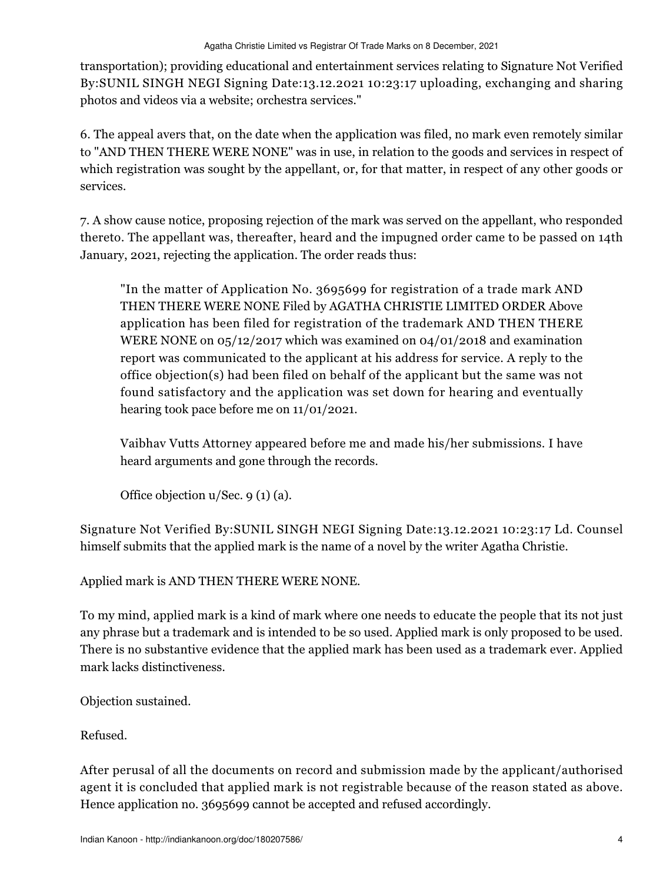transportation); providing educational and entertainment services relating to Signature Not Verified By:SUNIL SINGH NEGI Signing Date:13.12.2021 10:23:17 uploading, exchanging and sharing photos and videos via a website; orchestra services."

6. The appeal avers that, on the date when the application was filed, no mark even remotely similar to "AND THEN THERE WERE NONE" was in use, in relation to the goods and services in respect of which registration was sought by the appellant, or, for that matter, in respect of any other goods or services.

7. A show cause notice, proposing rejection of the mark was served on the appellant, who responded thereto. The appellant was, thereafter, heard and the impugned order came to be passed on 14th January, 2021, rejecting the application. The order reads thus:

"In the matter of Application No. 3695699 for registration of a trade mark AND THEN THERE WERE NONE Filed by AGATHA CHRISTIE LIMITED ORDER Above application has been filed for registration of the trademark AND THEN THERE WERE NONE on 05/12/2017 which was examined on 04/01/2018 and examination report was communicated to the applicant at his address for service. A reply to the office objection(s) had been filed on behalf of the applicant but the same was not found satisfactory and the application was set down for hearing and eventually hearing took pace before me on 11/01/2021.

Vaibhav Vutts Attorney appeared before me and made his/her submissions. I have heard arguments and gone through the records.

Office objection u/Sec. 9 (1) (a).

Signature Not Verified By:SUNIL SINGH NEGI Signing Date:13.12.2021 10:23:17 Ld. Counsel himself submits that the applied mark is the name of a novel by the writer Agatha Christie.

Applied mark is AND THEN THERE WERE NONE.

To my mind, applied mark is a kind of mark where one needs to educate the people that its not just any phrase but a trademark and is intended to be so used. Applied mark is only proposed to be used. There is no substantive evidence that the applied mark has been used as a trademark ever. Applied mark lacks distinctiveness.

Objection sustained.

Refused.

After perusal of all the documents on record and submission made by the applicant/authorised agent it is concluded that applied mark is not registrable because of the reason stated as above. Hence application no. 3695699 cannot be accepted and refused accordingly.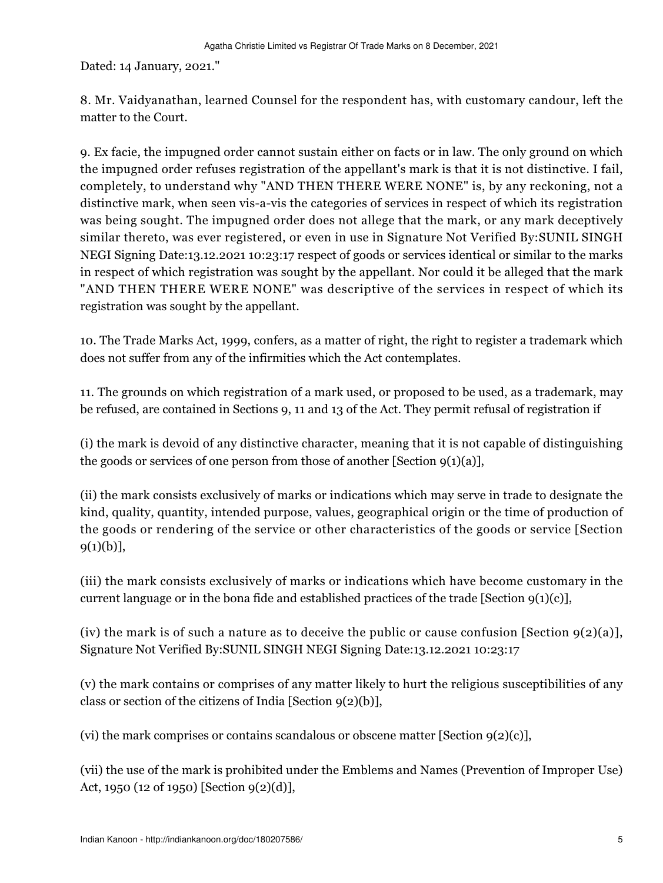Dated: 14 January, 2021."

8. Mr. Vaidyanathan, learned Counsel for the respondent has, with customary candour, left the matter to the Court.

9. Ex facie, the impugned order cannot sustain either on facts or in law. The only ground on which the impugned order refuses registration of the appellant's mark is that it is not distinctive. I fail, completely, to understand why "AND THEN THERE WERE NONE" is, by any reckoning, not a distinctive mark, when seen vis-a-vis the categories of services in respect of which its registration was being sought. The impugned order does not allege that the mark, or any mark deceptively similar thereto, was ever registered, or even in use in Signature Not Verified By:SUNIL SINGH NEGI Signing Date:13.12.2021 10:23:17 respect of goods or services identical or similar to the marks in respect of which registration was sought by the appellant. Nor could it be alleged that the mark "AND THEN THERE WERE NONE" was descriptive of the services in respect of which its registration was sought by the appellant.

10. The Trade Marks Act, 1999, confers, as a matter of right, the right to register a trademark which does not suffer from any of the infirmities which the Act contemplates.

11. The grounds on which registration of a mark used, or proposed to be used, as a trademark, may be refused, are contained in Sections 9, 11 and 13 of the Act. They permit refusal of registration if

(i) the mark is devoid of any distinctive character, meaning that it is not capable of distinguishing the goods or services of one person from those of another [Section  $9(1)(a)$ ],

(ii) the mark consists exclusively of marks or indications which may serve in trade to designate the kind, quality, quantity, intended purpose, values, geographical origin or the time of production of the goods or rendering of the service or other characteristics of the goods or service [Section  $9(1)(b)$ ],

(iii) the mark consists exclusively of marks or indications which have become customary in the current language or in the bona fide and established practices of the trade [Section  $9(1)(c)$ ],

(iv) the mark is of such a nature as to deceive the public or cause confusion [Section  $9(2)(a)$ ], Signature Not Verified By:SUNIL SINGH NEGI Signing Date:13.12.2021 10:23:17

(v) the mark contains or comprises of any matter likely to hurt the religious susceptibilities of any class or section of the citizens of India [Section 9(2)(b)],

(vi) the mark comprises or contains scandalous or obscene matter [Section  $g(2)(c)$ ],

(vii) the use of the mark is prohibited under the Emblems and Names (Prevention of Improper Use) Act, 1950 (12 of 1950) [Section 9(2)(d)],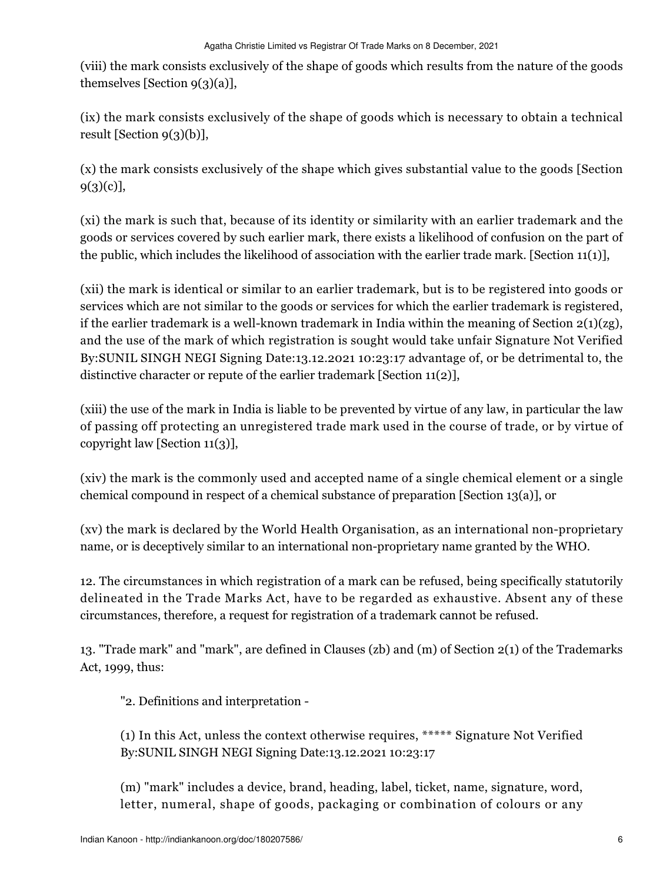(viii) the mark consists exclusively of the shape of goods which results from the nature of the goods themselves [Section 9(3)(a)],

(ix) the mark consists exclusively of the shape of goods which is necessary to obtain a technical result [Section 9(3)(b)],

(x) the mark consists exclusively of the shape which gives substantial value to the goods [Section 9(3)(c)],

(xi) the mark is such that, because of its identity or similarity with an earlier trademark and the goods or services covered by such earlier mark, there exists a likelihood of confusion on the part of the public, which includes the likelihood of association with the earlier trade mark. [Section 11(1)],

(xii) the mark is identical or similar to an earlier trademark, but is to be registered into goods or services which are not similar to the goods or services for which the earlier trademark is registered, if the earlier trademark is a well-known trademark in India within the meaning of Section  $2(1)(z)$ , and the use of the mark of which registration is sought would take unfair Signature Not Verified By:SUNIL SINGH NEGI Signing Date:13.12.2021 10:23:17 advantage of, or be detrimental to, the distinctive character or repute of the earlier trademark [Section 11(2)],

(xiii) the use of the mark in India is liable to be prevented by virtue of any law, in particular the law of passing off protecting an unregistered trade mark used in the course of trade, or by virtue of copyright law [Section 11(3)],

(xiv) the mark is the commonly used and accepted name of a single chemical element or a single chemical compound in respect of a chemical substance of preparation [Section 13(a)], or

(xv) the mark is declared by the World Health Organisation, as an international non-proprietary name, or is deceptively similar to an international non-proprietary name granted by the WHO.

12. The circumstances in which registration of a mark can be refused, being specifically statutorily delineated in the Trade Marks Act, have to be regarded as exhaustive. Absent any of these circumstances, therefore, a request for registration of a trademark cannot be refused.

13. "Trade mark" and "mark", are defined in Clauses (zb) and (m) of Section 2(1) of the Trademarks Act, 1999, thus:

"2. Definitions and interpretation -

(1) In this Act, unless the context otherwise requires, \*\*\*\*\* Signature Not Verified By:SUNIL SINGH NEGI Signing Date:13.12.2021 10:23:17

(m) "mark" includes a device, brand, heading, label, ticket, name, signature, word, letter, numeral, shape of goods, packaging or combination of colours or any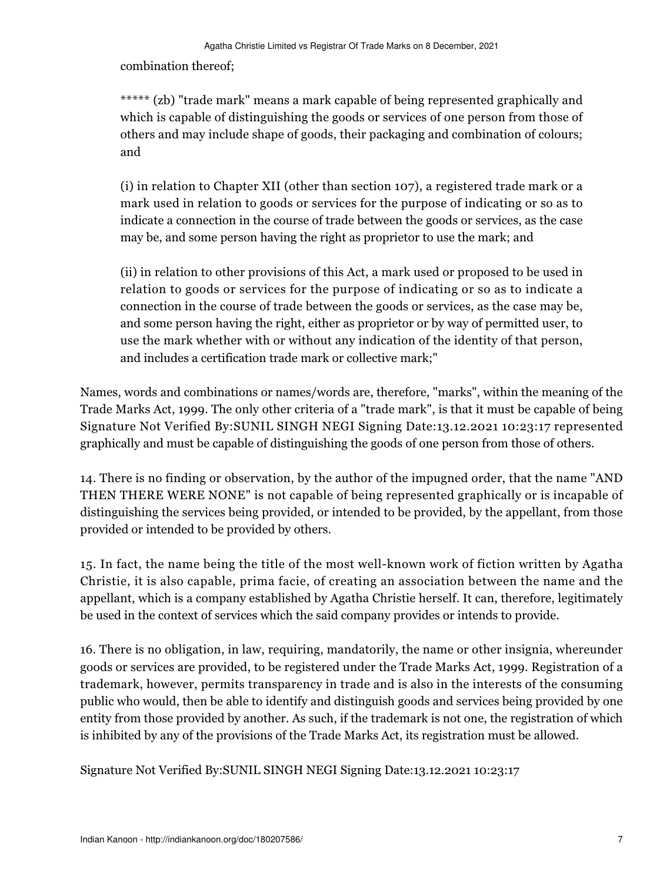combination thereof;

\*\*\*\*\* (zb) "trade mark" means a mark capable of being represented graphically and which is capable of distinguishing the goods or services of one person from those of others and may include shape of goods, their packaging and combination of colours; and

(i) in relation to Chapter XII (other than section 107), a registered trade mark or a mark used in relation to goods or services for the purpose of indicating or so as to indicate a connection in the course of trade between the goods or services, as the case may be, and some person having the right as proprietor to use the mark; and

(ii) in relation to other provisions of this Act, a mark used or proposed to be used in relation to goods or services for the purpose of indicating or so as to indicate a connection in the course of trade between the goods or services, as the case may be, and some person having the right, either as proprietor or by way of permitted user, to use the mark whether with or without any indication of the identity of that person, and includes a certification trade mark or collective mark;"

Names, words and combinations or names/words are, therefore, "marks", within the meaning of the Trade Marks Act, 1999. The only other criteria of a "trade mark", is that it must be capable of being Signature Not Verified By:SUNIL SINGH NEGI Signing Date:13.12.2021 10:23:17 represented graphically and must be capable of distinguishing the goods of one person from those of others.

14. There is no finding or observation, by the author of the impugned order, that the name "AND THEN THERE WERE NONE" is not capable of being represented graphically or is incapable of distinguishing the services being provided, or intended to be provided, by the appellant, from those provided or intended to be provided by others.

15. In fact, the name being the title of the most well-known work of fiction written by Agatha Christie, it is also capable, prima facie, of creating an association between the name and the appellant, which is a company established by Agatha Christie herself. It can, therefore, legitimately be used in the context of services which the said company provides or intends to provide.

16. There is no obligation, in law, requiring, mandatorily, the name or other insignia, whereunder goods or services are provided, to be registered under the Trade Marks Act, 1999. Registration of a trademark, however, permits transparency in trade and is also in the interests of the consuming public who would, then be able to identify and distinguish goods and services being provided by one entity from those provided by another. As such, if the trademark is not one, the registration of which is inhibited by any of the provisions of the Trade Marks Act, its registration must be allowed.

Signature Not Verified By:SUNIL SINGH NEGI Signing Date:13.12.2021 10:23:17